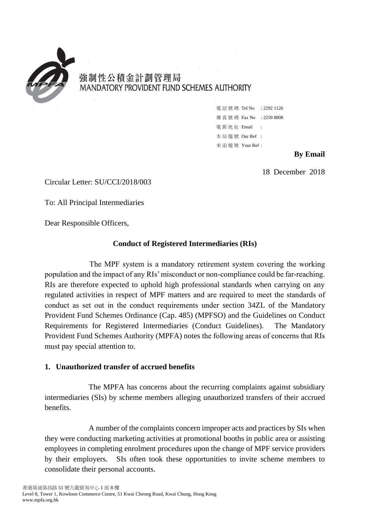

# 強制性公積金計劃管理局 MANDATORY PROVIDENT FUND SCHEMES AUTHORITY

電 話 號 碼 Tel No : 2292 1126 傳 真 號 碼 Fax No : 2259 8808 電 郵 地 址 Email : 本 局 檔 號 Our Ref : 來 函 檔 號 Your Ref :

## **By Email**

18 December 2018

Circular Letter: SU/CCI/2018/003

To: All Principal Intermediaries

Dear Responsible Officers,

# **Conduct of Registered Intermediaries (RIs)**

 The MPF system is a mandatory retirement system covering the working population and the impact of any RIs'misconduct or non-compliance could be far-reaching. RIs are therefore expected to uphold high professional standards when carrying on any regulated activities in respect of MPF matters and are required to meet the standards of conduct as set out in the conduct requirements under section 34ZL of the Mandatory Provident Fund Schemes Ordinance (Cap. 485) (MPFSO) and the Guidelines on Conduct Requirements for Registered Intermediaries (Conduct Guidelines). The Mandatory Provident Fund Schemes Authority (MPFA) notes the following areas of concerns that RIs must pay special attention to.

### **1. Unauthorized transfer of accrued benefits**

 intermediaries (SIs) by scheme members alleging unauthorized transfers of their accrued The MPFA has concerns about the recurring complaints against subsidiary benefits.

 A number of the complaints concern improper acts and practices by SIs when by their employers. SIs often took these opportunities to invite scheme members to they were conducting marketing activities at promotional booths in public area or assisting employees in completing enrolment procedures upon the change of MPF service providers consolidate their personal accounts.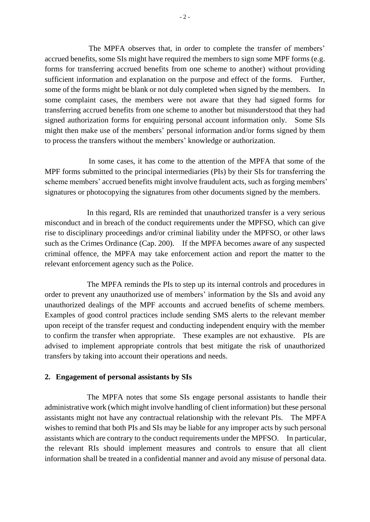accrued benefits, some SIs might have required the members to sign some MPF forms (e.g. forms for transferring accrued benefits from one scheme to another) without providing sufficient information and explanation on the purpose and effect of the forms. Further, some of the forms might be blank or not duly completed when signed by the members. In some complaint cases, the members were not aware that they had signed forms for transferring accrued benefits from one scheme to another but misunderstood that they had might then make use of the members' personal information and/or forms signed by them The MPFA observes that, in order to complete the transfer of members' signed authorization forms for enquiring personal account information only. Some SIs to process the transfers without the members' knowledge or authorization.

 In some cases, it has come to the attention of the MPFA that some of the MPF forms submitted to the principal intermediaries (PIs) by their SIs for transferring the signatures or photocopying the signatures from other documents signed by the members. scheme members' accrued benefits might involve fraudulent acts, such as forging members'

 rise to disciplinary proceedings and/or criminal liability under the MPFSO, or other laws In this regard, RIs are reminded that unauthorized transfer is a very serious misconduct and in breach of the conduct requirements under the MPFSO, which can give such as the Crimes Ordinance (Cap. 200). If the MPFA becomes aware of any suspected criminal offence, the MPFA may take enforcement action and report the matter to the relevant enforcement agency such as the Police.

 order to prevent any unauthorized use of members' information by the SIs and avoid any unauthorized dealings of the MPF accounts and accrued benefits of scheme members. Examples of good control practices include sending SMS alerts to the relevant member to confirm the transfer when appropriate. These examples are not exhaustive. PIs are The MPFA reminds the PIs to step up its internal controls and procedures in upon receipt of the transfer request and conducting independent enquiry with the member advised to implement appropriate controls that best mitigate the risk of unauthorized transfers by taking into account their operations and needs.

### **2. Engagement of personal assistants by SIs**

 wishes to remind that both PIs and SIs may be liable for any improper acts by such personal information shall be treated in a confidential manner and avoid any misuse of personal data. The MPFA notes that some SIs engage personal assistants to handle their administrative work (which might involve handling of client information) but these personal assistants might not have any contractual relationship with the relevant PIs. The MPFA assistants which are contrary to the conduct requirements under the MPFSO. In particular, the relevant RIs should implement measures and controls to ensure that all client